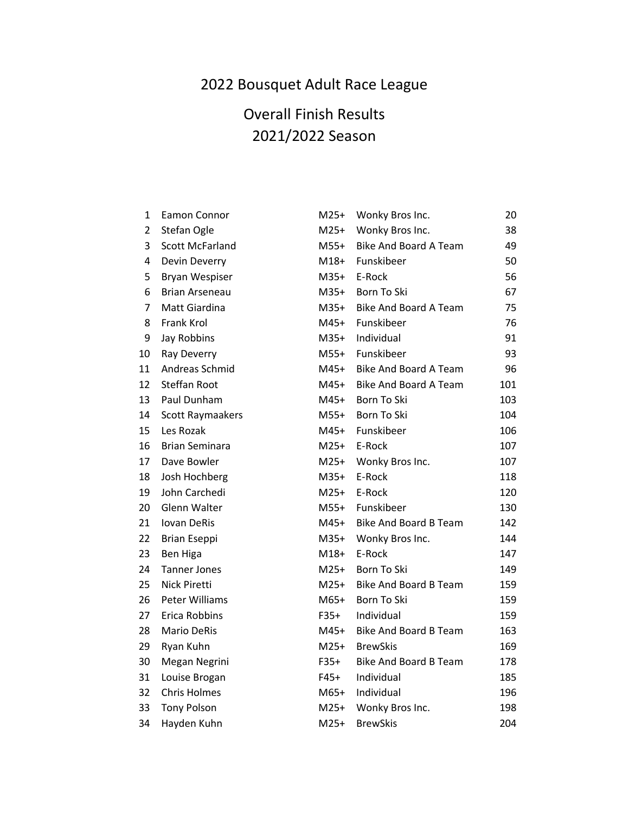## 2022 Bousquet Adult Race League

## Overall Finish Results 2021/2022 Season

| 1                       | Eamon Connor           | $M25+$ | Wonky Bros Inc.              | 20  |
|-------------------------|------------------------|--------|------------------------------|-----|
| $\overline{2}$          | Stefan Ogle            | $M25+$ | Wonky Bros Inc.              | 38  |
| 3                       | <b>Scott McFarland</b> | M55+   | <b>Bike And Board A Team</b> | 49  |
| $\overline{\mathbf{4}}$ | Devin Deverry          | $M18+$ | Funskibeer                   | 50  |
| 5                       | Bryan Wespiser         |        | M35+ E-Rock                  | 56  |
| 6                       | <b>Brian Arseneau</b>  | M35+   | Born To Ski                  | 67  |
| 7                       | Matt Giardina          | $M35+$ | <b>Bike And Board A Team</b> | 75  |
| 8                       | Frank Krol             | $M45+$ | Funskibeer                   | 76  |
| 9                       | Jay Robbins            | $M35+$ | Individual                   | 91  |
| 10                      | Ray Deverry            | $M55+$ | Funskibeer                   | 93  |
| 11                      | Andreas Schmid         | M45+   | <b>Bike And Board A Team</b> | 96  |
| 12                      | <b>Steffan Root</b>    | $M45+$ | <b>Bike And Board A Team</b> | 101 |
| 13                      | Paul Dunham            | $M45+$ | Born To Ski                  | 103 |
| 14                      | Scott Raymaakers       | $M55+$ | Born To Ski                  | 104 |
| 15                      | Les Rozak              |        | M45+ Funskibeer              | 106 |
| 16                      | <b>Brian Seminara</b>  | $M25+$ | E-Rock                       | 107 |
| 17                      | Dave Bowler            | $M25+$ | Wonky Bros Inc.              | 107 |
| 18                      | Josh Hochberg          | $M35+$ | E-Rock                       | 118 |
| 19                      | John Carchedi          | $M25+$ | E-Rock                       | 120 |
| 20                      | Glenn Walter           | $M55+$ | Funskibeer                   | 130 |
| 21                      | <b>Iovan DeRis</b>     | $M45+$ | <b>Bike And Board B Team</b> | 142 |
| 22                      | <b>Brian Eseppi</b>    | M35+   | Wonky Bros Inc.              | 144 |
| 23                      | Ben Higa               | $M18+$ | E-Rock                       | 147 |
| 24                      | <b>Tanner Jones</b>    | $M25+$ | Born To Ski                  | 149 |
| 25                      | Nick Piretti           | $M25+$ | <b>Bike And Board B Team</b> | 159 |
| 26                      | <b>Peter Williams</b>  | M65+   | <b>Born To Ski</b>           | 159 |
| 27                      | Erica Robbins          | $F35+$ | Individual                   | 159 |
| 28                      | <b>Mario DeRis</b>     | $M45+$ | <b>Bike And Board B Team</b> | 163 |
| 29                      | Ryan Kuhn              | $M25+$ | <b>BrewSkis</b>              | 169 |
| 30                      | Megan Negrini          | $F35+$ | <b>Bike And Board B Team</b> | 178 |
| 31                      | Louise Brogan          | $F45+$ | Individual                   | 185 |
| 32                      | <b>Chris Holmes</b>    | $M65+$ | Individual                   | 196 |
| 33                      | <b>Tony Polson</b>     | $M25+$ | Wonky Bros Inc.              | 198 |
| 34                      | Hayden Kuhn            | $M25+$ | <b>BrewSkis</b>              | 204 |